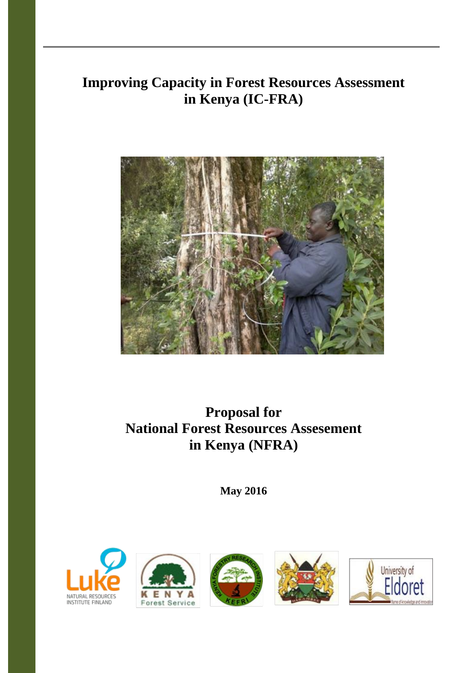# **Improving Capacity in Forest Resources Assessment in Kenya (IC-FRA)**



# **Proposal for National Forest Resources Assesement in Kenya (NFRA)**

**May 2016**









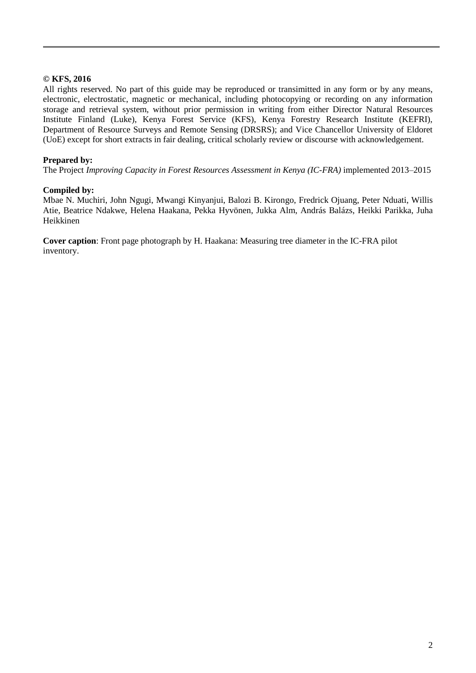#### **© KFS, 2016**

All rights reserved. No part of this guide may be reproduced or transimitted in any form or by any means, electronic, electrostatic, magnetic or mechanical, including photocopying or recording on any information storage and retrieval system, without prior permission in writing from either Director Natural Resources Institute Finland (Luke), Kenya Forest Service (KFS), Kenya Forestry Research Institute (KEFRI), Department of Resource Surveys and Remote Sensing (DRSRS); and Vice Chancellor University of Eldoret (UoE) except for short extracts in fair dealing, critical scholarly review or discourse with acknowledgement.

#### **Prepared by:**

The Project *Improving Capacity in Forest Resources Assessment in Kenya (IC-FRA)* implemented 2013–2015

#### **Compiled by:**

Mbae N. Muchiri, John Ngugi, Mwangi Kinyanjui, Balozi B. Kirongo, Fredrick Ojuang, Peter Nduati, Willis Atie, Beatrice Ndakwe, Helena Haakana, Pekka Hyvönen, Jukka Alm, András Balázs, Heikki Parikka, Juha Heikkinen

**Cover caption**: Front page photograph by H. Haakana: Measuring tree diameter in the IC-FRA pilot inventory.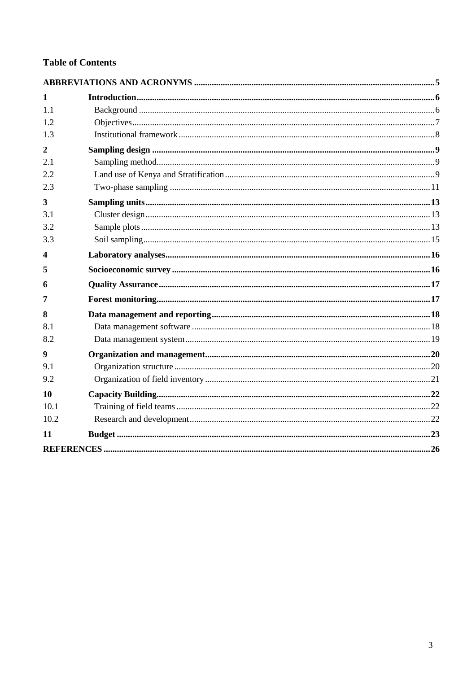# **Table of Contents**

| 1                |  |
|------------------|--|
| 1.1              |  |
| 1.2              |  |
| 1.3              |  |
| $\overline{2}$   |  |
| 2.1              |  |
| 2.2              |  |
| 2.3              |  |
| 3                |  |
| 3.1              |  |
| 3.2              |  |
| 3.3              |  |
| 4                |  |
| 5                |  |
| 6                |  |
| 7                |  |
| 8                |  |
| 8.1              |  |
| 8.2              |  |
| $\boldsymbol{9}$ |  |
| 9.1              |  |
| 9.2              |  |
| 10               |  |
| 10.1             |  |
| 10.2             |  |
| 11               |  |
|                  |  |
|                  |  |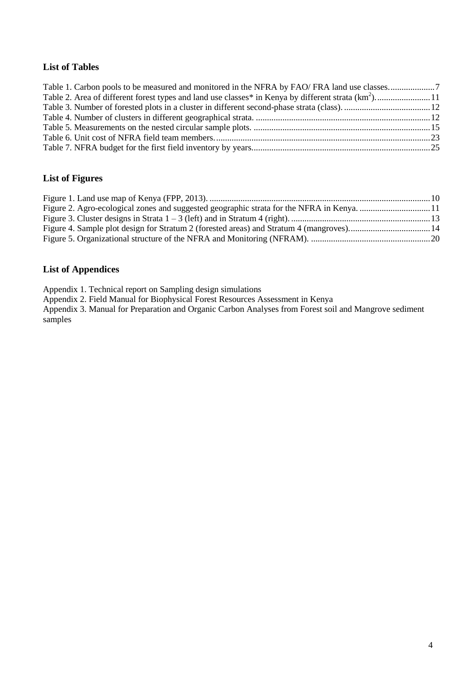# **List of Tables**

| Table 2. Area of different forest types and land use classes* in Kenya by different strata (km <sup>2</sup> )11 |  |
|-----------------------------------------------------------------------------------------------------------------|--|
|                                                                                                                 |  |
|                                                                                                                 |  |
|                                                                                                                 |  |
|                                                                                                                 |  |
|                                                                                                                 |  |

## **List of Figures**

# **List of Appendices**

Appendix 1. Technical report on Sampling design simulations

Appendix 2. Field Manual for Biophysical Forest Resources Assessment in Kenya

Appendix 3. Manual for Preparation and Organic Carbon Analyses from Forest soil and Mangrove sediment samples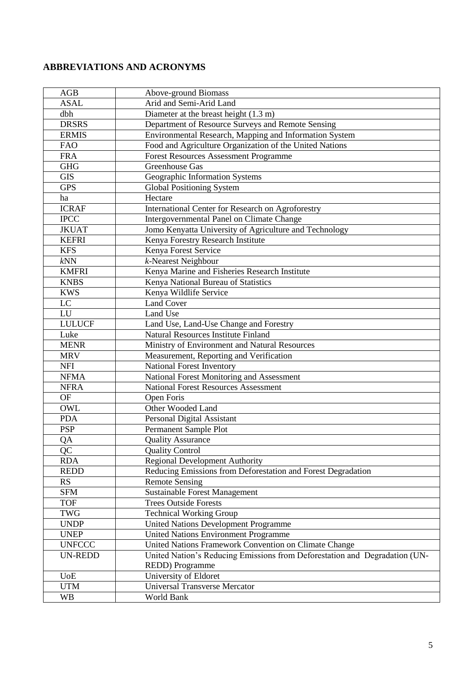# **ABBREVIATIONS AND ACRONYMS**

| AGB            | Above-ground Biomass                                                       |
|----------------|----------------------------------------------------------------------------|
| <b>ASAL</b>    | Arid and Semi-Arid Land                                                    |
| dbh            | Diameter at the breast height (1.3 m)                                      |
| <b>DRSRS</b>   | Department of Resource Surveys and Remote Sensing                          |
| <b>ERMIS</b>   | Environmental Research, Mapping and Information System                     |
| <b>FAO</b>     | Food and Agriculture Organization of the United Nations                    |
| <b>FRA</b>     | <b>Forest Resources Assessment Programme</b>                               |
| <b>GHG</b>     | <b>Greenhouse Gas</b>                                                      |
| <b>GIS</b>     | Geographic Information Systems                                             |
| <b>GPS</b>     | <b>Global Positioning System</b>                                           |
| ha             | Hectare                                                                    |
| <b>ICRAF</b>   | International Center for Research on Agroforestry                          |
| <b>IPCC</b>    | Intergovernmental Panel on Climate Change                                  |
| <b>JKUAT</b>   | Jomo Kenyatta University of Agriculture and Technology                     |
| <b>KEFRI</b>   | Kenya Forestry Research Institute                                          |
| <b>KFS</b>     | Kenya Forest Service                                                       |
| kNN            | $\overline{k}$ -Nearest Neighbour                                          |
| <b>KMFRI</b>   | Kenya Marine and Fisheries Research Institute                              |
| <b>KNBS</b>    | Kenya National Bureau of Statistics                                        |
| <b>KWS</b>     | Kenya Wildlife Service                                                     |
| $\rm LC$       | <b>Land Cover</b>                                                          |
| LU             | Land Use                                                                   |
| <b>LULUCF</b>  | Land Use, Land-Use Change and Forestry                                     |
| Luke           | <b>Natural Resources Institute Finland</b>                                 |
| <b>MENR</b>    | Ministry of Environment and Natural Resources                              |
| <b>MRV</b>     | Measurement, Reporting and Verification                                    |
| <b>NFI</b>     | National Forest Inventory                                                  |
| <b>NFMA</b>    | National Forest Monitoring and Assessment                                  |
| <b>NFRA</b>    | <b>National Forest Resources Assessment</b>                                |
| <b>OF</b>      | Open Foris                                                                 |
| <b>OWL</b>     | Other Wooded Land                                                          |
| <b>PDA</b>     | Personal Digital Assistant                                                 |
| <b>PSP</b>     | Permanent Sample Plot                                                      |
| QA             | <b>Quality Assurance</b>                                                   |
| QC             | <b>Quality Control</b>                                                     |
| <b>RDA</b>     | <b>Regional Development Authority</b>                                      |
| <b>REDD</b>    | Reducing Emissions from Deforestation and Forest Degradation               |
| <b>RS</b>      | <b>Remote Sensing</b>                                                      |
| <b>SFM</b>     | <b>Sustainable Forest Management</b>                                       |
| <b>TOF</b>     | <b>Trees Outside Forests</b>                                               |
| <b>TWG</b>     | <b>Technical Working Group</b>                                             |
| <b>UNDP</b>    | <b>United Nations Development Programme</b>                                |
| <b>UNEP</b>    | <b>United Nations Environment Programme</b>                                |
| <b>UNFCCC</b>  | United Nations Framework Convention on Climate Change                      |
| <b>UN-REDD</b> | United Nation's Reducing Emissions from Deforestation and Degradation (UN- |
|                | REDD) Programme                                                            |
| <b>UoE</b>     | University of Eldoret                                                      |
| <b>UTM</b>     | <b>Universal Transverse Mercator</b>                                       |
| <b>WB</b>      | World Bank                                                                 |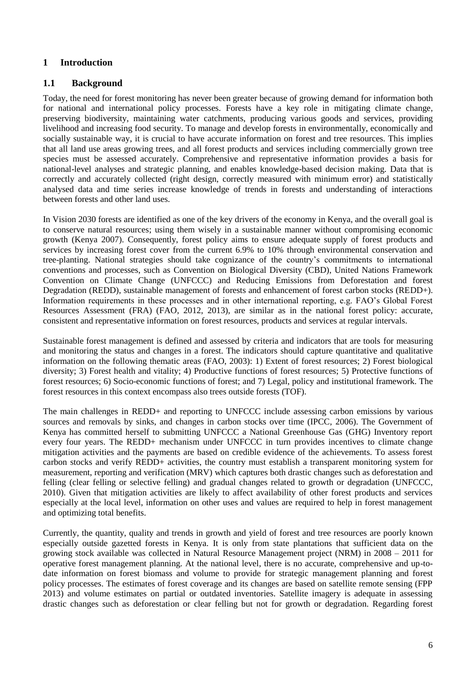#### **1 Introduction**

#### **1.1 Background**

Today, the need for forest monitoring has never been greater because of growing demand for information both for national and international policy processes. Forests have a key role in mitigating climate change, preserving biodiversity, maintaining water catchments, producing various goods and services, providing livelihood and increasing food security. To manage and develop forests in environmentally, economically and socially sustainable way, it is crucial to have accurate information on forest and tree resources. This implies that all land use areas growing trees, and all forest products and services including commercially grown tree species must be assessed accurately. Comprehensive and representative information provides a basis for national-level analyses and strategic planning, and enables knowledge-based decision making. Data that is correctly and accurately collected (right design, correctly measured with minimum error) and statistically analysed data and time series increase knowledge of trends in forests and understanding of interactions between forests and other land uses.

In Vision 2030 forests are identified as one of the key drivers of the economy in Kenya, and the overall goal is to conserve natural resources; using them wisely in a sustainable manner without compromising economic growth (Kenya 2007). Consequently, forest policy aims to ensure adequate supply of forest products and services by increasing forest cover from the current 6.9% to 10% through environmental conservation and tree-planting. National strategies should take cognizance of the country's commitments to international conventions and processes, such as Convention on Biological Diversity (CBD), United Nations Framework Convention on Climate Change (UNFCCC) and Reducing Emissions from Deforestation and forest Degradation (REDD), sustainable management of forests and enhancement of forest carbon stocks (REDD+). Information requirements in these processes and in other international reporting, e.g. FAO's Global Forest Resources Assessment (FRA) (FAO, 2012, 2013), are similar as in the national forest policy: accurate, consistent and representative information on forest resources, products and services at regular intervals.

Sustainable forest management is defined and assessed by criteria and indicators that are tools for measuring and monitoring the status and changes in a forest. The indicators should capture quantitative and qualitative information on the following thematic areas (FAO, 2003): 1) Extent of forest resources; 2) Forest biological diversity; 3) Forest health and vitality; 4) Productive functions of forest resources; 5) Protective functions of forest resources; 6) Socio-economic functions of forest; and 7) Legal, policy and institutional framework. The forest resources in this context encompass also trees outside forests (TOF).

The main challenges in REDD+ and reporting to UNFCCC include assessing carbon emissions by various sources and removals by sinks, and changes in carbon stocks over time (IPCC, 2006). The Government of Kenya has committed herself to submitting UNFCCC a National Greenhouse Gas (GHG) Inventory report every four years. The REDD+ mechanism under UNFCCC in turn provides incentives to climate change mitigation activities and the payments are based on credible evidence of the achievements. To assess forest carbon stocks and verify REDD+ activities, the country must establish a transparent monitoring system for measurement, reporting and verification (MRV) which captures both drastic changes such as deforestation and felling (clear felling or selective felling) and gradual changes related to growth or degradation (UNFCCC, 2010). Given that mitigation activities are likely to affect availability of other forest products and services especially at the local level, information on other uses and values are required to help in forest management and optimizing total benefits.

Currently, the quantity, quality and trends in growth and yield of forest and tree resources are poorly known especially outside gazetted forests in Kenya. It is only from state plantations that sufficient data on the growing stock available was collected in Natural Resource Management project (NRM) in 2008 – 2011 for operative forest management planning. At the national level, there is no accurate, comprehensive and up-todate information on forest biomass and volume to provide for strategic management planning and forest policy processes. The estimates of forest coverage and its changes are based on satellite remote sensing (FPP 2013) and volume estimates on partial or outdated inventories. Satellite imagery is adequate in assessing drastic changes such as deforestation or clear felling but not for growth or degradation. Regarding forest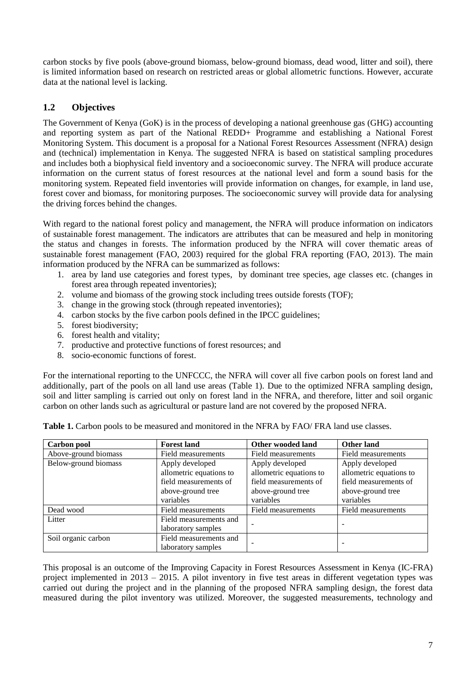carbon stocks by five pools (above-ground biomass, below-ground biomass, dead wood, litter and soil), there is limited information based on research on restricted areas or global allometric functions. However, accurate data at the national level is lacking.

# **1.2 Objectives**

The Government of Kenya (GoK) is in the process of developing a national greenhouse gas (GHG) accounting and reporting system as part of the National REDD+ Programme and establishing a National Forest Monitoring System. This document is a proposal for a National Forest Resources Assessment (NFRA) design and (technical) implementation in Kenya. The suggested NFRA is based on statistical sampling procedures and includes both a biophysical field inventory and a socioeconomic survey. The NFRA will produce accurate information on the current status of forest resources at the national level and form a sound basis for the monitoring system. Repeated field inventories will provide information on changes, for example, in land use, forest cover and biomass, for monitoring purposes. The socioeconomic survey will provide data for analysing the driving forces behind the changes.

With regard to the national forest policy and management, the NFRA will produce information on indicators of sustainable forest management. The indicators are attributes that can be measured and help in monitoring the status and changes in forests. The information produced by the NFRA will cover thematic areas of sustainable forest management (FAO, 2003) required for the global FRA reporting (FAO, 2013). The main information produced by the NFRA can be summarized as follows:

- 1. area by land use categories and forest types, by dominant tree species, age classes etc. (changes in forest area through repeated inventories);
- 2. volume and biomass of the growing stock including trees outside forests (TOF);
- 3. change in the growing stock (through repeated inventories);
- 4. carbon stocks by the five carbon pools defined in the IPCC guidelines;
- 5. forest biodiversity;
- 6. forest health and vitality;
- 7. productive and protective functions of forest resources; and
- 8. socio-economic functions of forest.

For the international reporting to the UNFCCC, the NFRA will cover all five carbon pools on forest land and additionally, part of the pools on all land use areas (Table 1). Due to the optimized NFRA sampling design, soil and litter sampling is carried out only on forest land in the NFRA, and therefore, litter and soil organic carbon on other lands such as agricultural or pasture land are not covered by the proposed NFRA.

| Carbon pool          | <b>Forest land</b>      | Other wooded land       | <b>Other land</b>       |  |  |
|----------------------|-------------------------|-------------------------|-------------------------|--|--|
| Above-ground biomass | Field measurements      | Field measurements      | Field measurements      |  |  |
| Below-ground biomass | Apply developed         | Apply developed         | Apply developed         |  |  |
|                      | allometric equations to | allometric equations to | allometric equations to |  |  |
|                      | field measurements of   | field measurements of   | field measurements of   |  |  |
|                      | above-ground tree       | above-ground tree       | above-ground tree       |  |  |
|                      | variables               | variables               |                         |  |  |
| Dead wood            | Field measurements      | Field measurements      | Field measurements      |  |  |
| Litter               | Field measurements and  |                         |                         |  |  |
|                      | laboratory samples      |                         |                         |  |  |
| Soil organic carbon  | Field measurements and  |                         |                         |  |  |
|                      | laboratory samples      |                         |                         |  |  |

<span id="page-6-0"></span>Table 1. Carbon pools to be measured and monitored in the NFRA by FAO/ FRA land use classes.

This proposal is an outcome of the Improving Capacity in Forest Resources Assessment in Kenya (IC-FRA) project implemented in 2013 – 2015. A pilot inventory in five test areas in different vegetation types was carried out during the project and in the planning of the proposed NFRA sampling design, the forest data measured during the pilot inventory was utilized. Moreover, the suggested measurements, technology and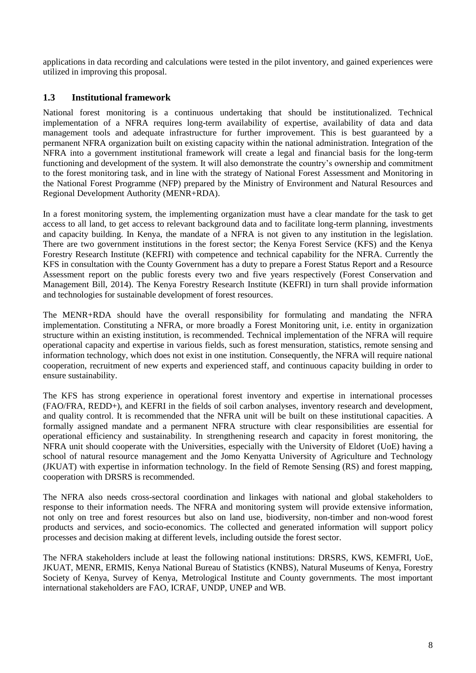applications in data recording and calculations were tested in the pilot inventory, and gained experiences were utilized in improving this proposal.

## **1.3 Institutional framework**

National forest monitoring is a continuous undertaking that should be institutionalized. Technical implementation of a NFRA requires long-term availability of expertise, availability of data and data management tools and adequate infrastructure for further improvement. This is best guaranteed by a permanent NFRA organization built on existing capacity within the national administration. Integration of the NFRA into a government institutional framework will create a legal and financial basis for the long-term functioning and development of the system. It will also demonstrate the country's ownership and commitment to the forest monitoring task, and in line with the strategy of National Forest Assessment and Monitoring in the National Forest Programme (NFP) prepared by the Ministry of Environment and Natural Resources and Regional Development Authority (MENR+RDA).

In a forest monitoring system, the implementing organization must have a clear mandate for the task to get access to all land, to get access to relevant background data and to facilitate long-term planning, investments and capacity building. In Kenya, the mandate of a NFRA is not given to any institution in the legislation. There are two government institutions in the forest sector; the Kenya Forest Service (KFS) and the Kenya Forestry Research Institute (KEFRI) with competence and technical capability for the NFRA. Currently the KFS in consultation with the County Government has a duty to prepare a Forest Status Report and a Resource Assessment report on the public forests every two and five years respectively (Forest Conservation and Management Bill, 2014). The Kenya Forestry Research Institute (KEFRI) in turn shall provide information and technologies for sustainable development of forest resources.

The MENR+RDA should have the overall responsibility for formulating and mandating the NFRA implementation. Constituting a NFRA, or more broadly a Forest Monitoring unit, i.e. entity in organization structure within an existing institution, is recommended. Technical implementation of the NFRA will require operational capacity and expertise in various fields, such as forest mensuration, statistics, remote sensing and information technology, which does not exist in one institution. Consequently, the NFRA will require national cooperation, recruitment of new experts and experienced staff, and continuous capacity building in order to ensure sustainability.

The KFS has strong experience in operational forest inventory and expertise in international processes (FAO/FRA, REDD+), and KEFRI in the fields of soil carbon analyses, inventory research and development, and quality control. It is recommended that the NFRA unit will be built on these institutional capacities. A formally assigned mandate and a permanent NFRA structure with clear responsibilities are essential for operational efficiency and sustainability. In strengthening research and capacity in forest monitoring, the NFRA unit should cooperate with the Universities, especially with the University of Eldoret (UoE) having a school of natural resource management and the Jomo Kenyatta University of Agriculture and Technology (JKUAT) with expertise in information technology. In the field of Remote Sensing (RS) and forest mapping, cooperation with DRSRS is recommended.

The NFRA also needs cross-sectoral coordination and linkages with national and global stakeholders to response to their information needs. The NFRA and monitoring system will provide extensive information, not only on tree and forest resources but also on land use, biodiversity, non-timber and non-wood forest products and services, and socio-economics. The collected and generated information will support policy processes and decision making at different levels, including outside the forest sector.

The NFRA stakeholders include at least the following national institutions: DRSRS, KWS, KEMFRI, UoE, JKUAT, MENR, ERMIS, Kenya National Bureau of Statistics (KNBS), Natural Museums of Kenya, Forestry Society of Kenya, Survey of Kenya, Metrological Institute and County governments. The most important international stakeholders are FAO, ICRAF, UNDP, UNEP and WB.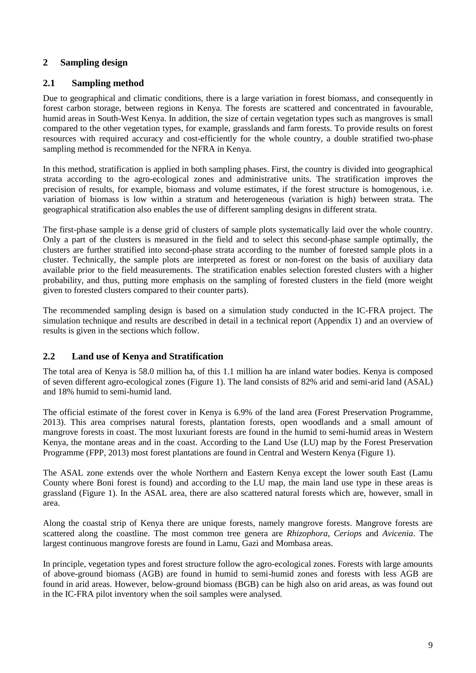## **2 Sampling design**

#### **2.1 Sampling method**

Due to geographical and climatic conditions, there is a large variation in forest biomass, and consequently in forest carbon storage, between regions in Kenya. The forests are scattered and concentrated in favourable, humid areas in South-West Kenya. In addition, the size of certain vegetation types such as mangroves is small compared to the other vegetation types, for example, grasslands and farm forests. To provide results on forest resources with required accuracy and cost-efficiently for the whole country, a double stratified two-phase sampling method is recommended for the NFRA in Kenya.

In this method, stratification is applied in both sampling phases. First, the country is divided into geographical strata according to the agro-ecological zones and administrative units. The stratification improves the precision of results, for example, biomass and volume estimates, if the forest structure is homogenous, i.e. variation of biomass is low within a stratum and heterogeneous (variation is high) between strata. The geographical stratification also enables the use of different sampling designs in different strata.

The first-phase sample is a dense grid of clusters of sample plots systematically laid over the whole country. Only a part of the clusters is measured in the field and to select this second-phase sample optimally, the clusters are further stratified into second-phase strata according to the number of forested sample plots in a cluster. Technically, the sample plots are interpreted as forest or non-forest on the basis of auxiliary data available prior to the field measurements. The stratification enables selection forested clusters with a higher probability, and thus, putting more emphasis on the sampling of forested clusters in the field (more weight given to forested clusters compared to their counter parts).

The recommended sampling design is based on a simulation study conducted in the IC-FRA project. The simulation technique and results are described in detail in a technical report (Appendix 1) and an overview of results is given in the sections which follow.

#### **2.2 Land use of Kenya and Stratification**

The total area of Kenya is 58.0 million ha, of this 1.1 million ha are inland water bodies. Kenya is composed of seven different agro-ecological zones [\(Figure 1\)](#page-9-0). The land consists of 82% arid and semi-arid land (ASAL) and 18% humid to semi-humid land.

The official estimate of the forest cover in Kenya is 6.9% of the land area (Forest Preservation Programme, 2013). This area comprises natural forests, plantation forests, open woodlands and a small amount of mangrove forests in coast. The most luxuriant forests are found in the humid to semi-humid areas in Western Kenya, the montane areas and in the coast. According to the Land Use (LU) map by the Forest Preservation Programme (FPP, 2013) most forest plantations are found in Central and Western Kenya [\(Figure 1\)](#page-9-0).

The ASAL zone extends over the whole Northern and Eastern Kenya except the lower south East (Lamu County where Boni forest is found) and according to the LU map, the main land use type in these areas is grassland [\(Figure 1\)](#page-9-0). In the ASAL area, there are also scattered natural forests which are, however, small in area.

Along the coastal strip of Kenya there are unique forests, namely mangrove forests. Mangrove forests are scattered along the coastline. The most common tree genera are *Rhizophora*, *Ceriops* and *Avicenia*. The largest continuous mangrove forests are found in Lamu, Gazi and Mombasa areas.

In principle, vegetation types and forest structure follow the agro-ecological zones. Forests with large amounts of above-ground biomass (AGB) are found in humid to semi-humid zones and forests with less AGB are found in arid areas. However, below-ground biomass (BGB) can be high also on arid areas, as was found out in the IC-FRA pilot inventory when the soil samples were analysed.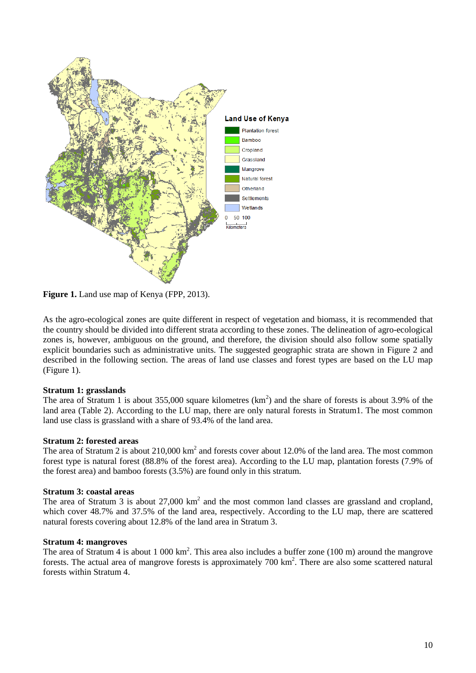

<span id="page-9-0"></span>**Figure 1.** Land use map of Kenya (FPP, 2013).

As the agro-ecological zones are quite different in respect of vegetation and biomass, it is recommended that the country should be divided into different strata according to these zones. The delineation of agro-ecological zones is, however, ambiguous on the ground, and therefore, the division should also follow some spatially explicit boundaries such as administrative units. The suggested geographic strata are shown in Figure 2 and described in the following section. The areas of land use classes and forest types are based on the LU map [\(Figure 1\)](#page-9-0).

#### **Stratum 1: grasslands**

The area of Stratum 1 is about 355,000 square kilometres  $(km^2)$  and the share of forests is about 3.9% of the land area (Table 2). According to the LU map, there are only natural forests in Stratum1. The most common land use class is grassland with a share of 93.4% of the land area.

#### **Stratum 2: forested areas**

The area of Stratum 2 is about  $210,000 \text{ km}^2$  and forests cover about 12.0% of the land area. The most common forest type is natural forest (88.8% of the forest area). According to the LU map, plantation forests (7.9% of the forest area) and bamboo forests (3.5%) are found only in this stratum.

#### **Stratum 3: coastal areas**

The area of Stratum 3 is about  $27,000 \text{ km}^2$  and the most common land classes are grassland and cropland, which cover 48.7% and 37.5% of the land area, respectively. According to the LU map, there are scattered natural forests covering about 12.8% of the land area in Stratum 3.

#### **Stratum 4: mangroves**

The area of Stratum 4 is about 1 000 km<sup>2</sup>. This area also includes a buffer zone (100 m) around the mangrove forests. The actual area of mangrove forests is approximately  $700 \text{ km}^2$ . There are also some scattered natural forests within Stratum 4.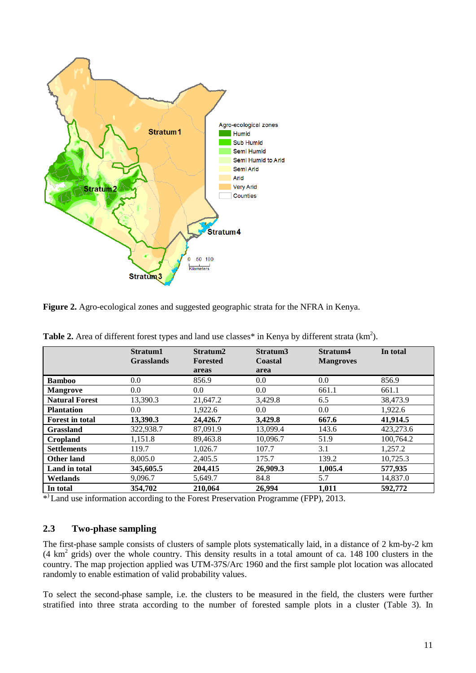

<span id="page-10-1"></span>**Figure 2.** Agro-ecological zones and suggested geographic strata for the NFRA in Kenya.

|                        | Stratum1<br><b>Grasslands</b> | Stratum2<br><b>Forested</b><br>areas | Stratum3<br>Coastal<br>area | Stratum4<br><b>Mangroves</b> | In total  |
|------------------------|-------------------------------|--------------------------------------|-----------------------------|------------------------------|-----------|
| <b>Bamboo</b>          | 0.0                           | 856.9                                | 0.0                         | 0.0                          | 856.9     |
| <b>Mangrove</b>        | 0.0                           | 0.0                                  | 0.0                         | 661.1                        | 661.1     |
| <b>Natural Forest</b>  | 13,390.3                      | 21,647.2                             | 3.429.8                     | 6.5                          | 38,473.9  |
| <b>Plantation</b>      | 0.0                           | 1,922.6                              | $0.0\,$                     | 0.0                          | 1,922.6   |
| <b>Forest in total</b> | 13,390.3                      | 24,426.7                             | 3,429.8                     | 667.6                        | 41,914.5  |
| <b>Grassland</b>       | 322,938.7                     | 87,091.9                             | 13,099.4                    | 143.6                        | 423,273.6 |
| Cropland               | 1,151.8                       | 89,463.8                             | 10,096.7                    | 51.9                         | 100,764.2 |
| <b>Settlements</b>     | 119.7                         | 1,026.7                              | 107.7                       | 3.1                          | 1,257.2   |
| <b>Other land</b>      | 8,005.0                       | 2.405.5                              | 175.7                       | 139.2                        | 10,725.3  |
| Land in total          | 345,605.5                     | 204,415                              | 26,909.3                    | 1,005.4                      | 577,935   |
| Wetlands               | 9,096.7                       | 5,649.7                              | 84.8                        | 5.7                          | 14,837.0  |
| In total               | 354,702                       | 210,064                              | 26,994                      | 1,011                        | 592,772   |

<span id="page-10-0"></span>**Table 2.** Area of different forest types and land use classes\* in Kenya by different strata  $(km^2)$ .

\* ) Land use information according to the Forest Preservation Programme (FPP), 2013.

#### **2.3 Two-phase sampling**

The first-phase sample consists of clusters of sample plots systematically laid, in a distance of 2 km-by-2 km (4 km<sup>2</sup> grids) over the whole country. This density results in a total amount of ca. 148 100 clusters in the country. The map projection applied was UTM-37S/Arc 1960 and the first sample plot location was allocated randomly to enable estimation of valid probability values.

To select the second-phase sample, i.e. the clusters to be measured in the field, the clusters were further stratified into three strata according to the number of forested sample plots in a cluster (Table 3). In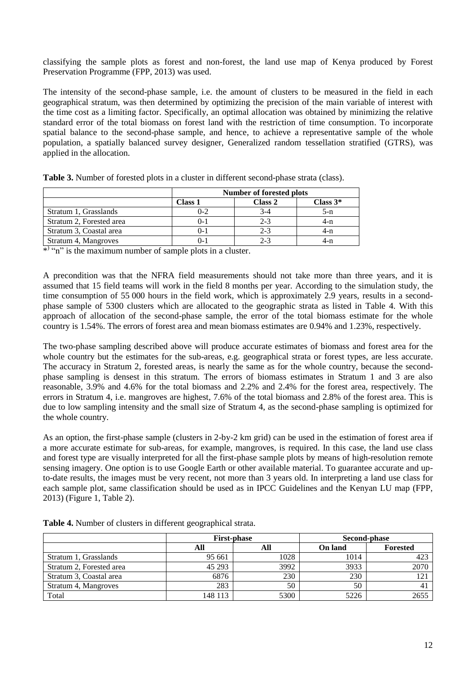classifying the sample plots as forest and non-forest, the land use map of Kenya produced by Forest Preservation Programme (FPP, 2013) was used.

The intensity of the second-phase sample, i.e. the amount of clusters to be measured in the field in each geographical stratum, was then determined by optimizing the precision of the main variable of interest with the time cost as a limiting factor. Specifically, an optimal allocation was obtained by minimizing the relative standard error of the total biomass on forest land with the restriction of time consumption. To incorporate spatial balance to the second-phase sample, and hence, to achieve a representative sample of the whole population, a spatially balanced survey designer, Generalized random tessellation stratified (GTRS), was applied in the allocation.

|                          | Number of forested plots         |         |       |  |  |  |  |  |  |
|--------------------------|----------------------------------|---------|-------|--|--|--|--|--|--|
|                          | Class 2<br>Class $3*$<br>Class 1 |         |       |  |  |  |  |  |  |
| Stratum 1, Grasslands    | $0 - 2$                          | 3-4     | $5-n$ |  |  |  |  |  |  |
| Stratum 2, Forested area | $0 - 1$                          | $2 - 3$ | 4-n   |  |  |  |  |  |  |
| Stratum 3, Coastal area  | ()- 1                            | $2 - 3$ | 4-n   |  |  |  |  |  |  |
| Stratum 4, Mangroves     |                                  | $2 - 3$ | 4-n   |  |  |  |  |  |  |

<span id="page-11-0"></span>**Table 3.** Number of forested plots in a cluster in different second-phase strata (class).

\* "n" is the maximum number of sample plots in a cluster.

A precondition was that the NFRA field measurements should not take more than three years, and it is assumed that 15 field teams will work in the field 8 months per year. According to the simulation study, the time consumption of 55 000 hours in the field work, which is approximately 2.9 years, results in a secondphase sample of 5300 clusters which are allocated to the geographic strata as listed in [Table 4.](#page-11-1) With this approach of allocation of the second-phase sample, the error of the total biomass estimate for the whole country is 1.54%. The errors of forest area and mean biomass estimates are 0.94% and 1.23%, respectively.

The two-phase sampling described above will produce accurate estimates of biomass and forest area for the whole country but the estimates for the sub-areas, e.g. geographical strata or forest types, are less accurate. The accuracy in Stratum 2, forested areas, is nearly the same as for the whole country, because the secondphase sampling is densest in this stratum. The errors of biomass estimates in Stratum 1 and 3 are also reasonable, 3.9% and 4.6% for the total biomass and 2.2% and 2.4% for the forest area, respectively. The errors in Stratum 4, i.e. mangroves are highest, 7.6% of the total biomass and 2.8% of the forest area. This is due to low sampling intensity and the small size of Stratum 4, as the second-phase sampling is optimized for the whole country.

As an option, the first-phase sample (clusters in 2-by-2 km grid) can be used in the estimation of forest area if a more accurate estimate for sub-areas, for example, mangroves, is required. In this case, the land use class and forest type are visually interpreted for all the first-phase sample plots by means of high-resolution remote sensing imagery. One option is to use Google Earth or other available material. To guarantee accurate and upto-date results, the images must be very recent, not more than 3 years old. In interpreting a land use class for each sample plot, same classification should be used as in IPCC Guidelines and the Kenyan LU map (FPP, 2013) [\(Figure 1,](#page-9-0) Table 2).

|                          |         | <b>First-phase</b> | Second-phase   |                 |  |  |
|--------------------------|---------|--------------------|----------------|-----------------|--|--|
|                          | All     | All                | <b>On land</b> | <b>Forested</b> |  |  |
| Stratum 1, Grasslands    | 95 661  | 1028               | 1014           | 423             |  |  |
| Stratum 2, Forested area | 45 293  | 3992               | 3933           | 2070            |  |  |
| Stratum 3, Coastal area  | 6876    | 230                | 230            | $12^{\circ}$    |  |  |
| Stratum 4, Mangroves     | 283     | 50                 | 50             |                 |  |  |
| Total                    | 148 113 | 5300               | 5226           | 2655            |  |  |

<span id="page-11-1"></span>**Table 4.** Number of clusters in different geographical strata.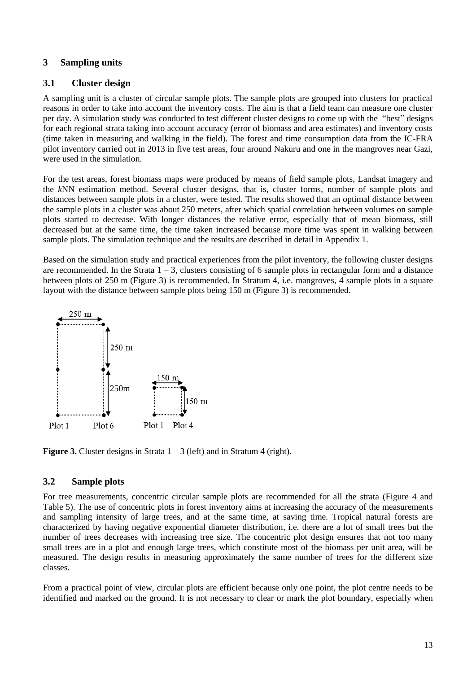#### **3 Sampling units**

#### **3.1 Cluster design**

A sampling unit is a cluster of circular sample plots. The sample plots are grouped into clusters for practical reasons in order to take into account the inventory costs. The aim is that a field team can measure one cluster per day. A simulation study was conducted to test different cluster designs to come up with the "best" designs for each regional strata taking into account accuracy (error of biomass and area estimates) and inventory costs (time taken in measuring and walking in the field). The forest and time consumption data from the IC-FRA pilot inventory carried out in 2013 in five test areas, four around Nakuru and one in the mangroves near Gazi, were used in the simulation.

For the test areas, forest biomass maps were produced by means of field sample plots, Landsat imagery and the *k*NN estimation method. Several cluster designs, that is, cluster forms, number of sample plots and distances between sample plots in a cluster, were tested. The results showed that an optimal distance between the sample plots in a cluster was about 250 meters, after which spatial correlation between volumes on sample plots started to decrease. With longer distances the relative error, especially that of mean biomass, still decreased but at the same time, the time taken increased because more time was spent in walking between sample plots. The simulation technique and the results are described in detail in Appendix 1.

Based on the simulation study and practical experiences from the pilot inventory, the following cluster designs are recommended. In the Strata  $1 - 3$ , clusters consisting of 6 sample plots in rectangular form and a distance between plots of 250 m [\(Figure 3\)](#page-12-0) is recommended. In Stratum 4, i.e. mangroves, 4 sample plots in a square layout with the distance between sample plots being 150 m [\(Figure 3\)](#page-12-0) is recommended.



<span id="page-12-0"></span>**Figure 3.** Cluster designs in Strata  $1 - 3$  (left) and in Stratum 4 (right).

## **3.2 Sample plots**

For tree measurements, concentric circular sample plots are recommended for all the strata (Figure 4 and Table 5). The use of concentric plots in forest inventory aims at increasing the accuracy of the measurements and sampling intensity of large trees, and at the same time, at saving time. Tropical natural forests are characterized by having negative exponential diameter distribution, i.e. there are a lot of small trees but the number of trees decreases with increasing tree size. The concentric plot design ensures that not too many small trees are in a plot and enough large trees, which constitute most of the biomass per unit area, will be measured. The design results in measuring approximately the same number of trees for the different size classes.

From a practical point of view, circular plots are efficient because only one point, the plot centre needs to be identified and marked on the ground. It is not necessary to clear or mark the plot boundary, especially when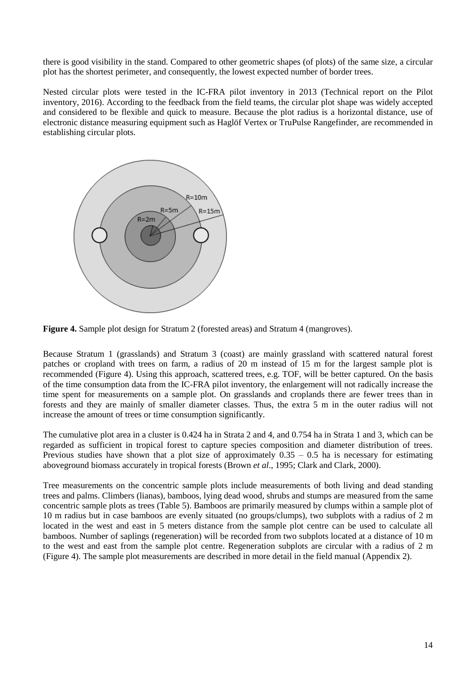there is good visibility in the stand. Compared to other geometric shapes (of plots) of the same size, a circular plot has the shortest perimeter, and consequently, the lowest expected number of border trees.

Nested circular plots were tested in the IC-FRA pilot inventory in 2013 (Technical report on the Pilot inventory, 2016). According to the feedback from the field teams, the circular plot shape was widely accepted and considered to be flexible and quick to measure. Because the plot radius is a horizontal distance, use of electronic distance measuring equipment such as Haglöf Vertex or TruPulse Rangefinder, are recommended in establishing circular plots.



<span id="page-13-0"></span>

Because Stratum 1 (grasslands) and Stratum 3 (coast) are mainly grassland with scattered natural forest patches or cropland with trees on farm, a radius of 20 m instead of 15 m for the largest sample plot is recommended (Figure 4). Using this approach, scattered trees, e.g. TOF, will be better captured. On the basis of the time consumption data from the IC-FRA pilot inventory, the enlargement will not radically increase the time spent for measurements on a sample plot. On grasslands and croplands there are fewer trees than in forests and they are mainly of smaller diameter classes. Thus, the extra 5 m in the outer radius will not increase the amount of trees or time consumption significantly.

The cumulative plot area in a cluster is 0.424 ha in Strata 2 and 4, and 0.754 ha in Strata 1 and 3, which can be regarded as sufficient in tropical forest to capture species composition and diameter distribution of trees. Previous studies have shown that a plot size of approximately  $0.35 - 0.5$  ha is necessary for estimating aboveground biomass accurately in tropical forests (Brown *et al*., 1995; Clark and Clark, 2000).

Tree measurements on the concentric sample plots include measurements of both living and dead standing trees and palms. Climbers (lianas), bamboos, lying dead wood, shrubs and stumps are measured from the same concentric sample plots as trees (Table 5). Bamboos are primarily measured by clumps within a sample plot of 10 m radius but in case bamboos are evenly situated (no groups/clumps), two subplots with a radius of 2 m located in the west and east in 5 meters distance from the sample plot centre can be used to calculate all bamboos. Number of saplings (regeneration) will be recorded from two subplots located at a distance of 10 m to the west and east from the sample plot centre. Regeneration subplots are circular with a radius of 2 m (Figure 4). The sample plot measurements are described in more detail in the field manual (Appendix 2).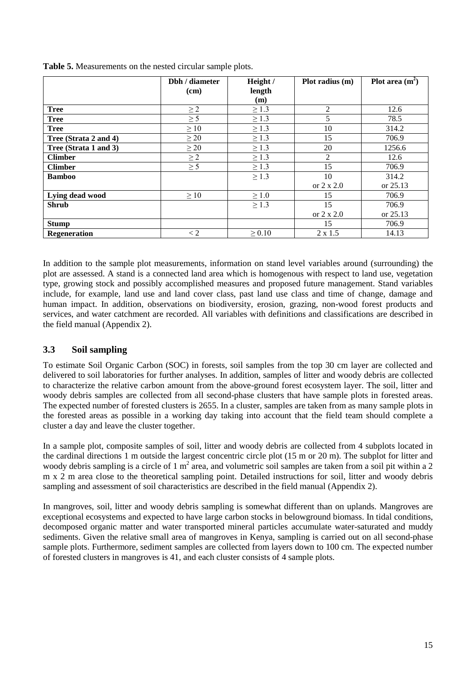|                       | Dbh / diameter | Height /    | Plot radius (m)   | Plot area $(m^2)$ |  |  |
|-----------------------|----------------|-------------|-------------------|-------------------|--|--|
|                       | (cm)           | length      |                   |                   |  |  |
|                       |                | (m)         |                   |                   |  |  |
| <b>Tree</b>           | $\geq$ 2       | $\geq 1.3$  | $\mathfrak{D}$    | 12.6              |  |  |
| <b>Tree</b>           | $\geq$ 5       | $\geq 1.3$  | 5                 | 78.5              |  |  |
| <b>Tree</b>           | $\geq 10$      | $\geq 1.3$  | 10                | 314.2             |  |  |
| Tree (Strata 2 and 4) | $\geq 20$      | $\geq 1.3$  | 15                | 706.9             |  |  |
| Tree (Strata 1 and 3) | $\geq$ 20      | $\geq 1.3$  | 20                | 1256.6            |  |  |
| <b>Climber</b>        | $\geq$ 2       | $\geq 1.3$  | $\overline{2}$    | 12.6              |  |  |
| <b>Climber</b>        | $\geq$ 5       | $\geq 1.3$  | 15                | 706.9             |  |  |
| <b>Bamboo</b>         |                | $\geq 1.3$  | 10                | 314.2             |  |  |
|                       |                |             | or $2 \times 2.0$ | or 25.13          |  |  |
| Lying dead wood       | $\geq 10$      | $\geq 1.0$  | 15                | 706.9             |  |  |
| <b>Shrub</b>          |                | $\geq 1.3$  | 15                | 706.9             |  |  |
|                       |                |             | or $2 \times 2.0$ | or 25.13          |  |  |
| <b>Stump</b>          |                |             | 15                | 706.9             |  |  |
| <b>Regeneration</b>   | $\lt 2$        | $\geq 0.10$ | $2 \times 1.5$    | 14.13             |  |  |

<span id="page-14-0"></span>**Table 5.** Measurements on the nested circular sample plots.

In addition to the sample plot measurements, information on stand level variables around (surrounding) the plot are assessed. A stand is a connected land area which is homogenous with respect to land use, vegetation type, growing stock and possibly accomplished measures and proposed future management. Stand variables include, for example, land use and land cover class, past land use class and time of change, damage and human impact. In addition, observations on biodiversity, erosion, grazing, non-wood forest products and services, and water catchment are recorded. All variables with definitions and classifications are described in the field manual (Appendix 2).

## **3.3 Soil sampling**

To estimate Soil Organic Carbon (SOC) in forests, soil samples from the top 30 cm layer are collected and delivered to soil laboratories for further analyses. In addition, samples of litter and woody debris are collected to characterize the relative carbon amount from the above-ground forest ecosystem layer. The soil, litter and woody debris samples are collected from all second-phase clusters that have sample plots in forested areas. The expected number of forested clusters is 2655. In a cluster, samples are taken from as many sample plots in the forested areas as possible in a working day taking into account that the field team should complete a cluster a day and leave the cluster together.

In a sample plot, composite samples of soil, litter and woody debris are collected from 4 subplots located in the cardinal directions 1 m outside the largest concentric circle plot (15 m or 20 m). The subplot for litter and woody debris sampling is a circle of 1 m<sup>2</sup> area, and volumetric soil samples are taken from a soil pit within a 2 m x 2 m area close to the theoretical sampling point. Detailed instructions for soil, litter and woody debris sampling and assessment of soil characteristics are described in the field manual (Appendix 2).

In mangroves, soil, litter and woody debris sampling is somewhat different than on uplands. Mangroves are exceptional ecosystems and expected to have large carbon stocks in belowground biomass. In tidal conditions, decomposed organic matter and water transported mineral particles accumulate water-saturated and muddy sediments. Given the relative small area of mangroves in Kenya, sampling is carried out on all second-phase sample plots. Furthermore, sediment samples are collected from layers down to 100 cm. The expected number of forested clusters in mangroves is 41, and each cluster consists of 4 sample plots.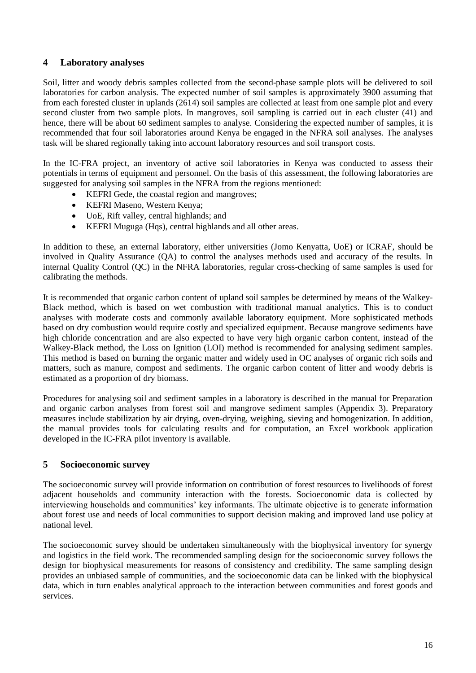## **4 Laboratory analyses**

Soil, litter and woody debris samples collected from the second-phase sample plots will be delivered to soil laboratories for carbon analysis. The expected number of soil samples is approximately 3900 assuming that from each forested cluster in uplands (2614) soil samples are collected at least from one sample plot and every second cluster from two sample plots. In mangroves, soil sampling is carried out in each cluster (41) and hence, there will be about 60 sediment samples to analyse. Considering the expected number of samples, it is recommended that four soil laboratories around Kenya be engaged in the NFRA soil analyses. The analyses task will be shared regionally taking into account laboratory resources and soil transport costs.

In the IC-FRA project, an inventory of active soil laboratories in Kenya was conducted to assess their potentials in terms of equipment and personnel. On the basis of this assessment, the following laboratories are suggested for analysing soil samples in the NFRA from the regions mentioned:

- KEFRI Gede, the coastal region and mangroves;
- KEFRI Maseno, Western Kenya;
- UoE, Rift valley, central highlands; and
- KEFRI Muguga (Hqs), central highlands and all other areas.

In addition to these, an external laboratory, either universities (Jomo Kenyatta, UoE) or ICRAF, should be involved in Quality Assurance (QA) to control the analyses methods used and accuracy of the results. In internal Quality Control (QC) in the NFRA laboratories, regular cross-checking of same samples is used for calibrating the methods.

It is recommended that organic carbon content of upland soil samples be determined by means of the Walkey-Black method, which is based on wet combustion with traditional manual analytics. This is to conduct analyses with moderate costs and commonly available laboratory equipment. More sophisticated methods based on dry combustion would require costly and specialized equipment. Because mangrove sediments have high chloride concentration and are also expected to have very high organic carbon content, instead of the Walkey-Black method, the Loss on Ignition (LOI) method is recommended for analysing sediment samples. This method is based on burning the organic matter and widely used in OC analyses of organic rich soils and matters, such as manure, compost and sediments. The organic carbon content of litter and woody debris is estimated as a proportion of dry biomass.

Procedures for analysing soil and sediment samples in a laboratory is described in the manual for Preparation and organic carbon analyses from forest soil and mangrove sediment samples (Appendix 3). Preparatory measures include stabilization by air drying, oven-drying, weighing, sieving and homogenization. In addition, the manual provides tools for calculating results and for computation, an Excel workbook application developed in the IC-FRA pilot inventory is available.

#### **5 Socioeconomic survey**

The socioeconomic survey will provide information on contribution of forest resources to livelihoods of forest adjacent households and community interaction with the forests. Socioeconomic data is collected by interviewing households and communities' key informants. The ultimate objective is to generate information about forest use and needs of local communities to support decision making and improved land use policy at national level.

The socioeconomic survey should be undertaken simultaneously with the biophysical inventory for synergy and logistics in the field work. The recommended sampling design for the socioeconomic survey follows the design for biophysical measurements for reasons of consistency and credibility. The same sampling design provides an unbiased sample of communities, and the socioeconomic data can be linked with the biophysical data, which in turn enables analytical approach to the interaction between communities and forest goods and services.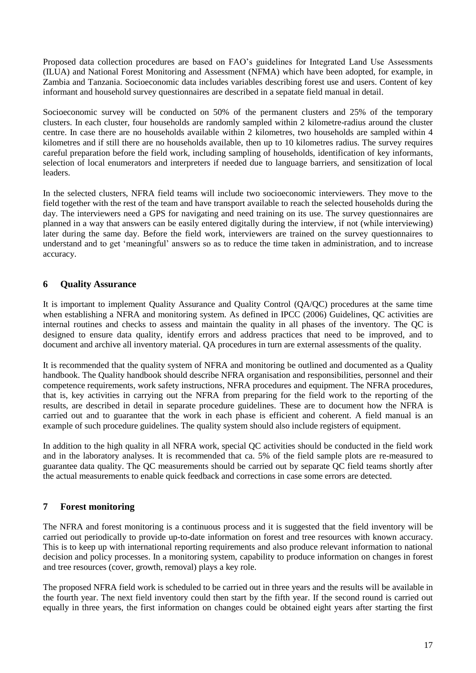Proposed data collection procedures are based on FAO's guidelines for Integrated Land Use Assessments (ILUA) and National Forest Monitoring and Assessment (NFMA) which have been adopted, for example, in Zambia and Tanzania. Socioeconomic data includes variables describing forest use and users. Content of key informant and household survey questionnaires are described in a sepatate field manual in detail.

Socioeconomic survey will be conducted on 50% of the permanent clusters and 25% of the temporary clusters. In each cluster, four households are randomly sampled within 2 kilometre-radius around the cluster centre. In case there are no households available within 2 kilometres, two households are sampled within 4 kilometres and if still there are no households available, then up to 10 kilometres radius. The survey requires careful preparation before the field work, including sampling of households, identification of key informants, selection of local enumerators and interpreters if needed due to language barriers, and sensitization of local leaders.

In the selected clusters, NFRA field teams will include two socioeconomic interviewers. They move to the field together with the rest of the team and have transport available to reach the selected households during the day. The interviewers need a GPS for navigating and need training on its use. The survey questionnaires are planned in a way that answers can be easily entered digitally during the interview, if not (while interviewing) later during the same day. Before the field work, interviewers are trained on the survey questionnaires to understand and to get 'meaningful' answers so as to reduce the time taken in administration, and to increase accuracy.

#### **6 Quality Assurance**

It is important to implement Quality Assurance and Quality Control (QA/QC) procedures at the same time when establishing a NFRA and monitoring system. As defined in IPCC (2006) Guidelines, QC activities are internal routines and checks to assess and maintain the quality in all phases of the inventory. The QC is designed to ensure data quality, identify errors and address practices that need to be improved, and to document and archive all inventory material. QA procedures in turn are external assessments of the quality.

It is recommended that the quality system of NFRA and monitoring be outlined and documented as a Quality handbook. The Quality handbook should describe NFRA organisation and responsibilities, personnel and their competence requirements, work safety instructions, NFRA procedures and equipment. The NFRA procedures, that is, key activities in carrying out the NFRA from preparing for the field work to the reporting of the results, are described in detail in separate procedure guidelines. These are to document how the NFRA is carried out and to guarantee that the work in each phase is efficient and coherent. A field manual is an example of such procedure guidelines. The quality system should also include registers of equipment.

In addition to the high quality in all NFRA work, special QC activities should be conducted in the field work and in the laboratory analyses. It is recommended that ca. 5% of the field sample plots are re-measured to guarantee data quality. The QC measurements should be carried out by separate QC field teams shortly after the actual measurements to enable quick feedback and corrections in case some errors are detected.

## **7 Forest monitoring**

The NFRA and forest monitoring is a continuous process and it is suggested that the field inventory will be carried out periodically to provide up-to-date information on forest and tree resources with known accuracy. This is to keep up with international reporting requirements and also produce relevant information to national decision and policy processes. In a monitoring system, capability to produce information on changes in forest and tree resources (cover, growth, removal) plays a key role.

The proposed NFRA field work is scheduled to be carried out in three years and the results will be available in the fourth year. The next field inventory could then start by the fifth year. If the second round is carried out equally in three years, the first information on changes could be obtained eight years after starting the first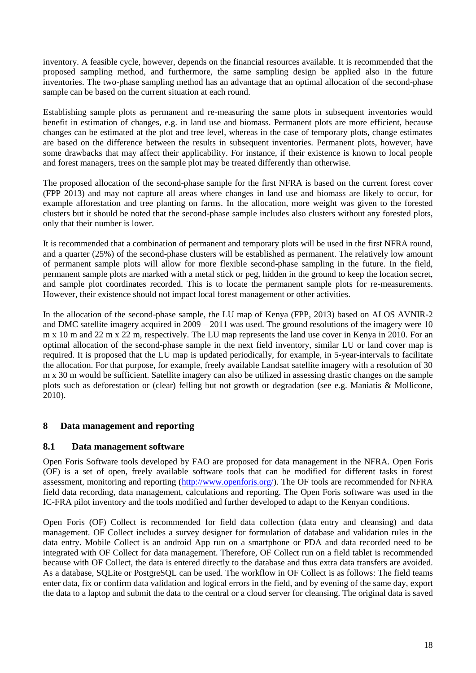inventory. A feasible cycle, however, depends on the financial resources available. It is recommended that the proposed sampling method, and furthermore, the same sampling design be applied also in the future inventories. The two-phase sampling method has an advantage that an optimal allocation of the second-phase sample can be based on the current situation at each round.

Establishing sample plots as permanent and re-measuring the same plots in subsequent inventories would benefit in estimation of changes, e.g. in land use and biomass. Permanent plots are more efficient, because changes can be estimated at the plot and tree level, whereas in the case of temporary plots, change estimates are based on the difference between the results in subsequent inventories. Permanent plots, however, have some drawbacks that may affect their applicability. For instance, if their existence is known to local people and forest managers, trees on the sample plot may be treated differently than otherwise.

The proposed allocation of the second-phase sample for the first NFRA is based on the current forest cover (FPP 2013) and may not capture all areas where changes in land use and biomass are likely to occur, for example afforestation and tree planting on farms. In the allocation, more weight was given to the forested clusters but it should be noted that the second-phase sample includes also clusters without any forested plots, only that their number is lower.

It is recommended that a combination of permanent and temporary plots will be used in the first NFRA round, and a quarter (25%) of the second-phase clusters will be established as permanent. The relatively low amount of permanent sample plots will allow for more flexible second-phase sampling in the future. In the field, permanent sample plots are marked with a metal stick or peg, hidden in the ground to keep the location secret, and sample plot coordinates recorded. This is to locate the permanent sample plots for re-measurements. However, their existence should not impact local forest management or other activities.

In the allocation of the second-phase sample, the LU map of Kenya (FPP, 2013) based on ALOS AVNIR-2 and DMC satellite imagery acquired in 2009 – 2011 was used. The ground resolutions of the imagery were 10 m x 10 m and 22 m x 22 m, respectively. The LU map represents the land use cover in Kenya in 2010. For an optimal allocation of the second-phase sample in the next field inventory, similar LU or land cover map is required. It is proposed that the LU map is updated periodically, for example, in 5-year-intervals to facilitate the allocation. For that purpose, for example, freely available Landsat satellite imagery with a resolution of 30 m x 30 m would be sufficient. Satellite imagery can also be utilized in assessing drastic changes on the sample plots such as deforestation or (clear) felling but not growth or degradation (see e.g. Maniatis & Mollicone, 2010).

# **8 Data management and reporting**

## **8.1 Data management software**

Open Foris Software tools developed by FAO are proposed for data management in the NFRA. Open Foris (OF) is a set of open, freely available software tools that can be modified for different tasks in forest assessment, monitoring and reporting [\(http://www.openforis.org/\)](http://www.openforis.org/). The OF tools are recommended for NFRA field data recording, data management, calculations and reporting. The Open Foris software was used in the IC-FRA pilot inventory and the tools modified and further developed to adapt to the Kenyan conditions.

Open Foris (OF) Collect is recommended for field data collection (data entry and cleansing) and data management. OF Collect includes a survey designer for formulation of database and validation rules in the data entry. Mobile Collect is an android App run on a smartphone or PDA and data recorded need to be integrated with OF Collect for data management. Therefore, OF Collect run on a field tablet is recommended because with OF Collect, the data is entered directly to the database and thus extra data transfers are avoided. As a database, SQLite or PostgreSQL can be used. The workflow in OF Collect is as follows: The field teams enter data, fix or confirm data validation and logical errors in the field, and by evening of the same day, export the data to a laptop and submit the data to the central or a cloud server for cleansing. The original data is saved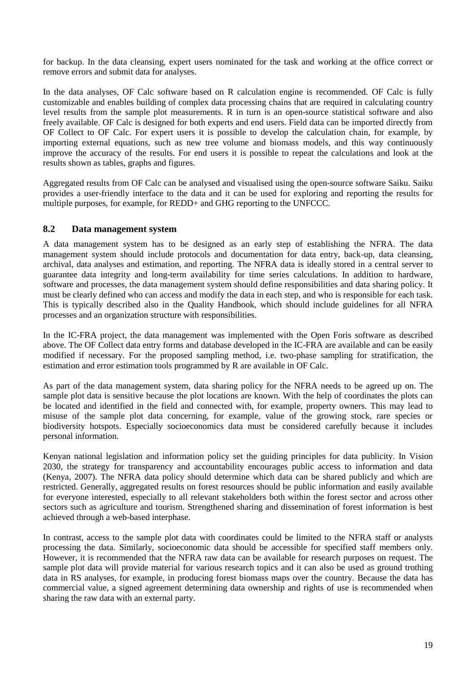for backup. In the data cleansing, expert users nominated for the task and working at the office correct or remove errors and submit data for analyses.

In the data analyses, OF Calc software based on R calculation engine is recommended. OF Calc is fully customizable and enables building of complex data processing chains that are required in calculating country level results from the sample plot measurements. R in turn is an open-source statistical software and also freely available. OF Calc is designed for both experts and end users. Field data can be imported directly from OF Collect to OF Calc. For expert users it is possible to develop the calculation chain, for example, by importing external equations, such as new tree volume and biomass models, and this way continuously improve the accuracy of the results. For end users it is possible to repeat the calculations and look at the results shown as tables, graphs and figures.

Aggregated results from OF Calc can be analysed and visualised using the open-source software Saiku. Saiku provides a user-friendly interface to the data and it can be used for exploring and reporting the results for multiple purposes, for example, for REDD+ and GHG reporting to the UNFCCC.

#### **8.2 Data management system**

A data management system has to be designed as an early step of establishing the NFRA. The data management system should include protocols and documentation for data entry, back-up, data cleansing, archival, data analyses and estimation, and reporting. The NFRA data is ideally stored in a central server to guarantee data integrity and long-term availability for time series calculations. In addition to hardware, software and processes, the data management system should define responsibilities and data sharing policy. It must be clearly defined who can access and modify the data in each step, and who is responsible for each task. This is typically described also in the Quality Handbook, which should include guidelines for all NFRA processes and an organization structure with responsibilities.

In the IC-FRA project, the data management was implemented with the Open Foris software as described above. The OF Collect data entry forms and database developed in the IC-FRA are available and can be easily modified if necessary. For the proposed sampling method, i.e. two-phase sampling for stratification, the estimation and error estimation tools programmed by R are available in OF Calc.

As part of the data management system, data sharing policy for the NFRA needs to be agreed up on. The sample plot data is sensitive because the plot locations are known. With the help of coordinates the plots can be located and identified in the field and connected with, for example, property owners. This may lead to misuse of the sample plot data concerning, for example, value of the growing stock, rare species or biodiversity hotspots. Especially socioeconomics data must be considered carefully because it includes personal information.

Kenyan national legislation and information policy set the guiding principles for data publicity. In Vision 2030, the strategy for transparency and accountability encourages public access to information and data (Kenya, 2007). The NFRA data policy should determine which data can be shared publicly and which are restricted. Generally, aggregated results on forest resources should be public information and easily available for everyone interested, especially to all relevant stakeholders both within the forest sector and across other sectors such as agriculture and tourism. Strengthened sharing and dissemination of forest information is best achieved through a web-based interphase.

In contrast, access to the sample plot data with coordinates could be limited to the NFRA staff or analysts processing the data. Similarly, socioeconomic data should be accessible for specified staff members only. However, it is recommended that the NFRA raw data can be available for research purposes on request. The sample plot data will provide material for various research topics and it can also be used as ground trothing data in RS analyses, for example, in producing forest biomass maps over the country. Because the data has commercial value, a signed agreement determining data ownership and rights of use is recommended when sharing the raw data with an external party.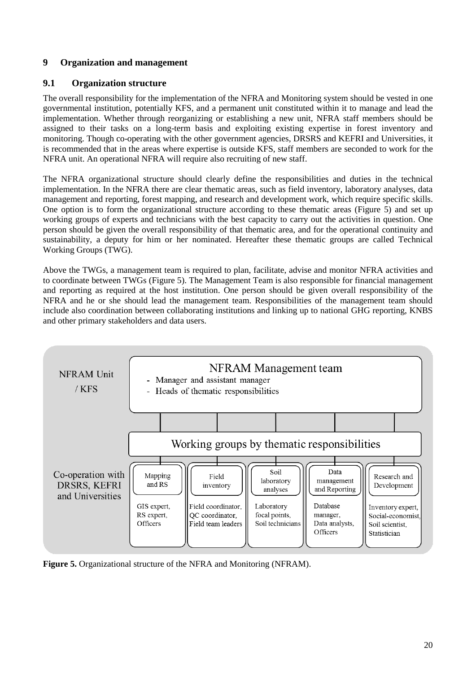## **9 Organization and management**

#### **9.1 Organization structure**

The overall responsibility for the implementation of the NFRA and Monitoring system should be vested in one governmental institution, potentially KFS, and a permanent unit constituted within it to manage and lead the implementation. Whether through reorganizing or establishing a new unit, NFRA staff members should be assigned to their tasks on a long-term basis and exploiting existing expertise in forest inventory and monitoring. Though co-operating with the other government agencies, DRSRS and KEFRI and Universities, it is recommended that in the areas where expertise is outside KFS, staff members are seconded to work for the NFRA unit. An operational NFRA will require also recruiting of new staff.

The NFRA organizational structure should clearly define the responsibilities and duties in the technical implementation. In the NFRA there are clear thematic areas, such as field inventory, laboratory analyses, data management and reporting, forest mapping, and research and development work, which require specific skills. One option is to form the organizational structure according to these thematic areas [\(Figure 5\)](#page-19-0) and set up working groups of experts and technicians with the best capacity to carry out the activities in question. One person should be given the overall responsibility of that thematic area, and for the operational continuity and sustainability, a deputy for him or her nominated. Hereafter these thematic groups are called Technical Working Groups (TWG).

Above the TWGs, a management team is required to plan, facilitate, advise and monitor NFRA activities and to coordinate between TWGs [\(Figure 5\)](#page-19-0). The Management Team is also responsible for financial management and reporting as required at the host institution. One person should be given overall responsibility of the NFRA and he or she should lead the management team. Responsibilities of the management team should include also coordination between collaborating institutions and linking up to national GHG reporting, KNBS and other primary stakeholders and data users.



<span id="page-19-0"></span>**Figure 5.** Organizational structure of the NFRA and Monitoring (NFRAM).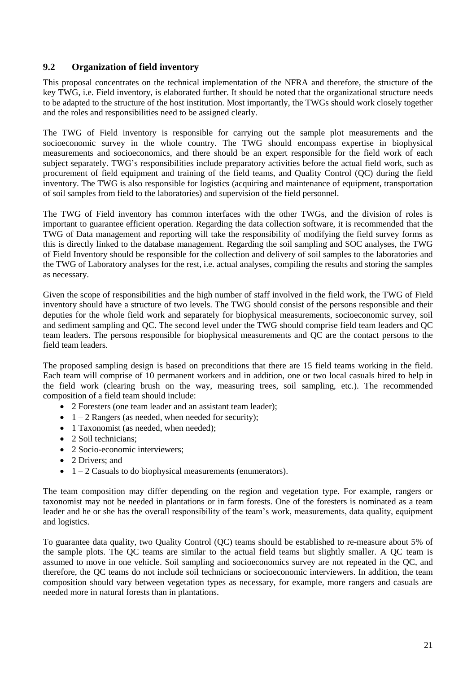#### **9.2 Organization of field inventory**

This proposal concentrates on the technical implementation of the NFRA and therefore, the structure of the key TWG, i.e. Field inventory, is elaborated further. It should be noted that the organizational structure needs to be adapted to the structure of the host institution. Most importantly, the TWGs should work closely together and the roles and responsibilities need to be assigned clearly.

The TWG of Field inventory is responsible for carrying out the sample plot measurements and the socioeconomic survey in the whole country. The TWG should encompass expertise in biophysical measurements and socioeconomics, and there should be an expert responsible for the field work of each subject separately. TWG's responsibilities include preparatory activities before the actual field work, such as procurement of field equipment and training of the field teams, and Quality Control (QC) during the field inventory. The TWG is also responsible for logistics (acquiring and maintenance of equipment, transportation of soil samples from field to the laboratories) and supervision of the field personnel.

The TWG of Field inventory has common interfaces with the other TWGs, and the division of roles is important to guarantee efficient operation. Regarding the data collection software, it is recommended that the TWG of Data management and reporting will take the responsibility of modifying the field survey forms as this is directly linked to the database management. Regarding the soil sampling and SOC analyses, the TWG of Field Inventory should be responsible for the collection and delivery of soil samples to the laboratories and the TWG of Laboratory analyses for the rest, i.e. actual analyses, compiling the results and storing the samples as necessary.

Given the scope of responsibilities and the high number of staff involved in the field work, the TWG of Field inventory should have a structure of two levels. The TWG should consist of the persons responsible and their deputies for the whole field work and separately for biophysical measurements, socioeconomic survey, soil and sediment sampling and QC. The second level under the TWG should comprise field team leaders and QC team leaders. The persons responsible for biophysical measurements and QC are the contact persons to the field team leaders.

The proposed sampling design is based on preconditions that there are 15 field teams working in the field. Each team will comprise of 10 permanent workers and in addition, one or two local casuals hired to help in the field work (clearing brush on the way, measuring trees, soil sampling, etc.). The recommended composition of a field team should include:

- 2 Foresters (one team leader and an assistant team leader);
- $\bullet$  1 2 Rangers (as needed, when needed for security);
- 1 Taxonomist (as needed, when needed);
- 2 Soil technicians:
- 2 Socio-economic interviewers;
- 2 Drivers: and
- $\bullet$  1 2 Casuals to do biophysical measurements (enumerators).

The team composition may differ depending on the region and vegetation type. For example, rangers or taxonomist may not be needed in plantations or in farm forests. One of the foresters is nominated as a team leader and he or she has the overall responsibility of the team's work, measurements, data quality, equipment and logistics.

To guarantee data quality, two Quality Control (QC) teams should be established to re-measure about 5% of the sample plots. The QC teams are similar to the actual field teams but slightly smaller. A QC team is assumed to move in one vehicle. Soil sampling and socioeconomics survey are not repeated in the QC, and therefore, the QC teams do not include soil technicians or socioeconomic interviewers. In addition, the team composition should vary between vegetation types as necessary, for example, more rangers and casuals are needed more in natural forests than in plantations.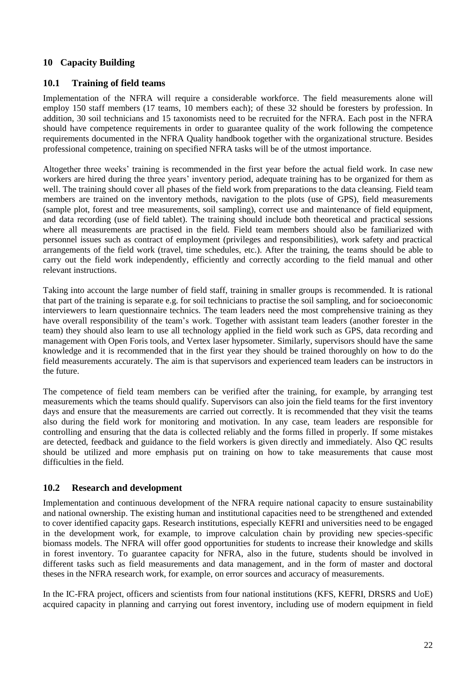## **10 Capacity Building**

#### **10.1 Training of field teams**

Implementation of the NFRA will require a considerable workforce. The field measurements alone will employ 150 staff members (17 teams, 10 members each); of these 32 should be foresters by profession. In addition, 30 soil technicians and 15 taxonomists need to be recruited for the NFRA. Each post in the NFRA should have competence requirements in order to guarantee quality of the work following the competence requirements documented in the NFRA Quality handbook together with the organizational structure. Besides professional competence, training on specified NFRA tasks will be of the utmost importance.

Altogether three weeks' training is recommended in the first year before the actual field work. In case new workers are hired during the three years' inventory period, adequate training has to be organized for them as well. The training should cover all phases of the field work from preparations to the data cleansing. Field team members are trained on the inventory methods, navigation to the plots (use of GPS), field measurements (sample plot, forest and tree measurements, soil sampling), correct use and maintenance of field equipment, and data recording (use of field tablet). The training should include both theoretical and practical sessions where all measurements are practised in the field. Field team members should also be familiarized with personnel issues such as contract of employment (privileges and responsibilities), work safety and practical arrangements of the field work (travel, time schedules, etc.). After the training, the teams should be able to carry out the field work independently, efficiently and correctly according to the field manual and other relevant instructions.

Taking into account the large number of field staff, training in smaller groups is recommended. It is rational that part of the training is separate e.g. for soil technicians to practise the soil sampling, and for socioeconomic interviewers to learn questionnaire technics. The team leaders need the most comprehensive training as they have overall responsibility of the team's work. Together with assistant team leaders (another forester in the team) they should also learn to use all technology applied in the field work such as GPS, data recording and management with Open Foris tools, and Vertex laser hypsometer. Similarly, supervisors should have the same knowledge and it is recommended that in the first year they should be trained thoroughly on how to do the field measurements accurately. The aim is that supervisors and experienced team leaders can be instructors in the future.

The competence of field team members can be verified after the training, for example, by arranging test measurements which the teams should qualify. Supervisors can also join the field teams for the first inventory days and ensure that the measurements are carried out correctly. It is recommended that they visit the teams also during the field work for monitoring and motivation. In any case, team leaders are responsible for controlling and ensuring that the data is collected reliably and the forms filled in properly. If some mistakes are detected, feedback and guidance to the field workers is given directly and immediately. Also QC results should be utilized and more emphasis put on training on how to take measurements that cause most difficulties in the field.

#### **10.2 Research and development**

Implementation and continuous development of the NFRA require national capacity to ensure sustainability and national ownership. The existing human and institutional capacities need to be strengthened and extended to cover identified capacity gaps. Research institutions, especially KEFRI and universities need to be engaged in the development work, for example, to improve calculation chain by providing new species-specific biomass models. The NFRA will offer good opportunities for students to increase their knowledge and skills in forest inventory. To guarantee capacity for NFRA, also in the future, students should be involved in different tasks such as field measurements and data management, and in the form of master and doctoral theses in the NFRA research work, for example, on error sources and accuracy of measurements.

In the IC-FRA project, officers and scientists from four national institutions (KFS, KEFRI, DRSRS and UoE) acquired capacity in planning and carrying out forest inventory, including use of modern equipment in field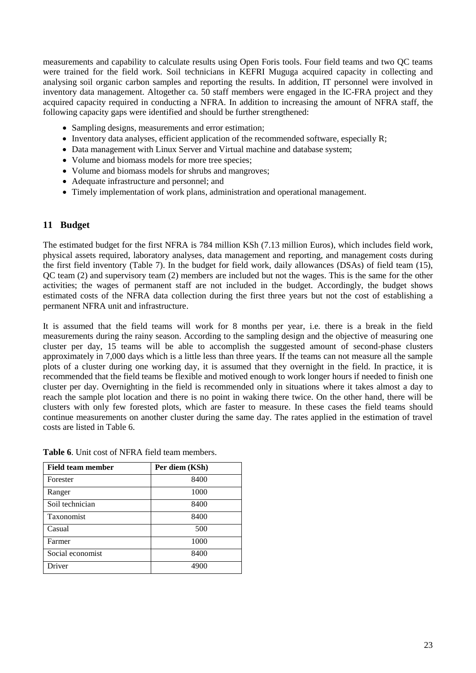measurements and capability to calculate results using Open Foris tools. Four field teams and two QC teams were trained for the field work. Soil technicians in KEFRI Muguga acquired capacity in collecting and analysing soil organic carbon samples and reporting the results. In addition, IT personnel were involved in inventory data management. Altogether ca. 50 staff members were engaged in the IC-FRA project and they acquired capacity required in conducting a NFRA. In addition to increasing the amount of NFRA staff, the following capacity gaps were identified and should be further strengthened:

- Sampling designs, measurements and error estimation;
- $\bullet$  Inventory data analyses, efficient application of the recommended software, especially R;
- Data management with Linux Server and Virtual machine and database system;
- Volume and biomass models for more tree species;
- Volume and biomass models for shrubs and mangroves;
- Adequate infrastructure and personnel; and
- Timely implementation of work plans, administration and operational management.

#### **11 Budget**

The estimated budget for the first NFRA is 784 million KSh (7.13 million Euros), which includes field work, physical assets required, laboratory analyses, data management and reporting, and management costs during the first field inventory [\(Table 7\)](#page-24-0). In the budget for field work, daily allowances (DSAs) of field team (15), QC team (2) and supervisory team (2) members are included but not the wages. This is the same for the other activities; the wages of permanent staff are not included in the budget. Accordingly, the budget shows estimated costs of the NFRA data collection during the first three years but not the cost of establishing a permanent NFRA unit and infrastructure.

It is assumed that the field teams will work for 8 months per year, i.e. there is a break in the field measurements during the rainy season. According to the sampling design and the objective of measuring one cluster per day, 15 teams will be able to accomplish the suggested amount of second-phase clusters approximately in 7,000 days which is a little less than three years. If the teams can not measure all the sample plots of a cluster during one working day, it is assumed that they overnight in the field. In practice, it is recommended that the field teams be flexible and motived enough to work longer hours if needed to finish one cluster per day. Overnighting in the field is recommended only in situations where it takes almost a day to reach the sample plot location and there is no point in waking there twice. On the other hand, there will be clusters with only few forested plots, which are faster to measure. In these cases the field teams should continue measurements on another cluster during the same day. The rates applied in the estimation of travel costs are listed in Table 6.

| Field team member | Per diem (KSh) |
|-------------------|----------------|
| Forester          | 8400           |
| Ranger            | 1000           |
| Soil technician   | 8400           |
| Taxonomist        | 8400           |
| Casual            | 500            |
| Farmer            | 1000           |
| Social economist  | 8400           |
| Driver            | 4900           |

<span id="page-22-0"></span>**Table 6**. Unit cost of NFRA field team members.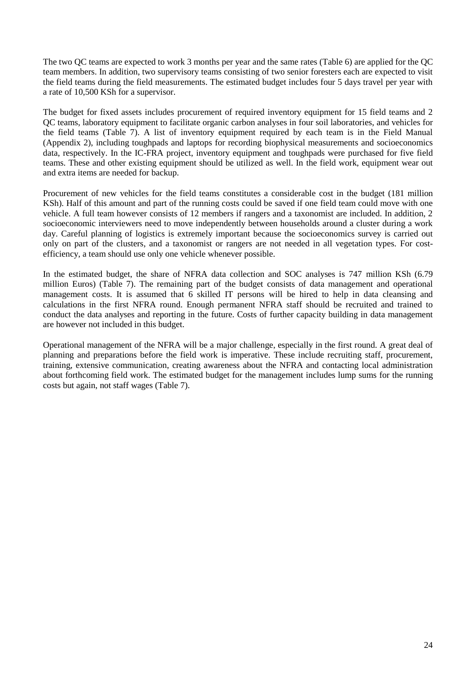The two QC teams are expected to work 3 months per year and the same rates (Table 6) are applied for the QC team members. In addition, two supervisory teams consisting of two senior foresters each are expected to visit the field teams during the field measurements. The estimated budget includes four 5 days travel per year with a rate of 10,500 KSh for a supervisor.

The budget for fixed assets includes procurement of required inventory equipment for 15 field teams and 2 QC teams, laboratory equipment to facilitate organic carbon analyses in four soil laboratories, and vehicles for the field teams [\(Table 7\)](#page-24-0). A list of inventory equipment required by each team is in the Field Manual (Appendix 2), including toughpads and laptops for recording biophysical measurements and socioeconomics data, respectively. In the IC-FRA project, inventory equipment and toughpads were purchased for five field teams. These and other existing equipment should be utilized as well. In the field work, equipment wear out and extra items are needed for backup.

Procurement of new vehicles for the field teams constitutes a considerable cost in the budget (181 million KSh). Half of this amount and part of the running costs could be saved if one field team could move with one vehicle. A full team however consists of 12 members if rangers and a taxonomist are included. In addition, 2 socioeconomic interviewers need to move independently between households around a cluster during a work day. Careful planning of logistics is extremely important because the socioeconomics survey is carried out only on part of the clusters, and a taxonomist or rangers are not needed in all vegetation types. For costefficiency, a team should use only one vehicle whenever possible.

In the estimated budget, the share of NFRA data collection and SOC analyses is 747 million KSh (6.79 million Euros) [\(Table 7\)](#page-24-0). The remaining part of the budget consists of data management and operational management costs. It is assumed that 6 skilled IT persons will be hired to help in data cleansing and calculations in the first NFRA round. Enough permanent NFRA staff should be recruited and trained to conduct the data analyses and reporting in the future. Costs of further capacity building in data management are however not included in this budget.

Operational management of the NFRA will be a major challenge, especially in the first round. A great deal of planning and preparations before the field work is imperative. These include recruiting staff, procurement, training, extensive communication, creating awareness about the NFRA and contacting local administration about forthcoming field work. The estimated budget for the management includes lump sums for the running costs but again, not staff wages [\(Table 7\)](#page-24-0).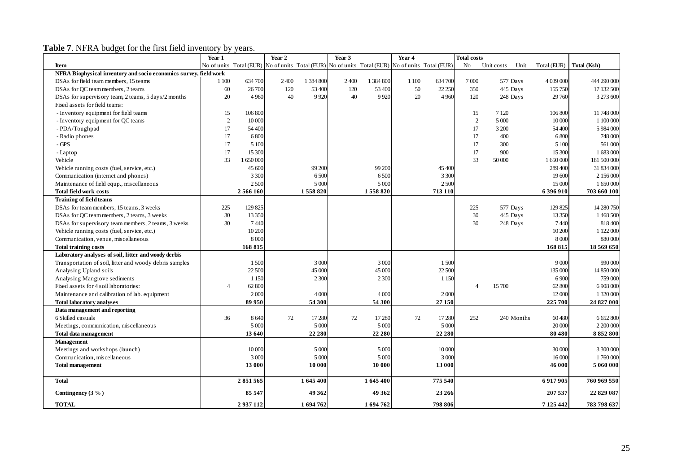**Table 7**. NFRA budget for the first field inventory by years.

<span id="page-24-0"></span>

|                                                                   | Year 1       |         | Year 2 |           | Year 3  |           | Year 4                                                                              |         | <b>Total costs</b> |            |            |               |             |
|-------------------------------------------------------------------|--------------|---------|--------|-----------|---------|-----------|-------------------------------------------------------------------------------------|---------|--------------------|------------|------------|---------------|-------------|
| Item                                                              | No of units  |         |        |           |         |           | Total (EUR) No of units Total (EUR) No of units Total (EUR) No of units Total (EUR) |         | N <sub>o</sub>     | Unit costs | Unit       | Total (EUR)   | Total (Ksh) |
| NFRA Biophysical inventory and socio economics survey, field work |              |         |        |           |         |           |                                                                                     |         |                    |            |            |               |             |
| DSAs for field team members, 15 teams                             | 1 100        | 634 700 | 2400   | 1 384 800 | 2 4 0 0 | 1 384 800 | 1 100                                                                               | 634 700 | 7000               | 577 Days   |            | 4 039 000     | 444 290 000 |
| DSAs for OC team members, 2 teams                                 | 60           | 26 700  | 120    | 53 400    | 120     | 53 400    | 50                                                                                  | 22 250  | 350                | 445 Days   |            | 155 750       | 17 132 500  |
| DSAs for supervisory team, 2 teams, 5 days/2 months               | 20           | 4 9 6 0 | 40     | 9920      | 40      | 9 9 2 0   | 20                                                                                  | 4 9 6 0 | 120                | 248 Days   |            | 29 760        | 3 273 600   |
| Fixed assets for field teams:                                     |              |         |        |           |         |           |                                                                                     |         |                    |            |            |               |             |
| - Inventory equipment for field teams                             | 15           | 106 800 |        |           |         |           |                                                                                     |         | 15                 | 7 1 2 0    |            | 106 800       | 11 748 000  |
| - Inventory equipment for QC teams                                | $\mathbf{2}$ | 10 000  |        |           |         |           |                                                                                     |         | 2                  | 5 0 0 0    |            | 10 000        | 1 100 000   |
| - PDA/Toughpad                                                    | 17           | 54 400  |        |           |         |           |                                                                                     |         | 17                 | 3 200      |            | 54 400        | 5 984 000   |
| - Radio phones                                                    | 17           | 6800    |        |           |         |           |                                                                                     |         | 17                 | 400        |            | 6800          | 748 000     |
| $-GPS$                                                            | 17           | 5 100   |        |           |         |           |                                                                                     |         | 17                 | 300        |            | 5 100         | 561 000     |
| - Laptop                                                          | 17           | 15 300  |        |           |         |           |                                                                                     |         | 17                 | 900        |            | 15 300        | 1683000     |
| Vehicle                                                           | 33           | 1650000 |        |           |         |           |                                                                                     |         | 33                 | 50 000     |            | 1 650 000     | 181 500 000 |
| Vehicle running costs (fuel, service, etc.)                       |              | 45 600  |        | 99 200    |         | 99 200    |                                                                                     | 45 400  |                    |            |            | 289 400       | 31 834 000  |
| Communication (internet and phones)                               |              | 3 3 0 0 |        | 6500      |         | 6500      |                                                                                     | 3 3 0 0 |                    |            |            | 19 600        | 2 156 000   |
| Maintenance of field equp., miscellaneous                         |              | 2 500   |        | 5 0 0 0   |         | 5 000     |                                                                                     | 2 500   |                    |            |            | 15 000        | 1 650 000   |
| <b>Total field work costs</b>                                     |              | 2566160 |        | 1558820   |         | 1558820   |                                                                                     | 713 110 |                    |            |            | 6396910       | 703 660 100 |
| <b>Training of field teams</b>                                    |              |         |        |           |         |           |                                                                                     |         |                    |            |            |               |             |
| DSAs for team members, 15 teams, 3 weeks                          | 225          | 129 825 |        |           |         |           |                                                                                     |         | 225                | 577 Days   |            | 129 825       | 14 280 750  |
| DSAs for OC team members, 2 teams, 3 weeks                        | 30           | 13 350  |        |           |         |           |                                                                                     |         | 30                 | 445 Days   |            | 13 350        | 1 468 500   |
| DSAs for supervisory team members, 2 teams, 3 weeks               | 30           | 7440    |        |           |         |           |                                                                                     |         | 30                 | 248 Days   |            | 7440          | 818 400     |
| Vehicle running costs (fuel, service, etc.)                       |              | 10 200  |        |           |         |           |                                                                                     |         |                    |            |            | 10 200        | 1 122 000   |
| Communication, venue, miscellaneous                               |              | 8 0 0 0 |        |           |         |           |                                                                                     |         |                    |            |            | 8 0 0 0       | 880000      |
| <b>Total training costs</b>                                       |              | 168 815 |        |           |         |           |                                                                                     |         |                    |            |            | 168 815       | 18 569 650  |
| Laboratory analyses of soil, litter and woody derbis              |              |         |        |           |         |           |                                                                                     |         |                    |            |            |               |             |
| Transportation of soil, litter and woody debris samples           |              | 1500    |        | 3 0 0 0   |         | 3 0 0 0   |                                                                                     | 1500    |                    |            |            | 9 0 0 0       | 990 000     |
| Analysing Upland soils                                            |              | 22 500  |        | 45 000    |         | 45 000    |                                                                                     | 22 500  |                    |            |            | 135 000       | 14 850 000  |
| Analysing Mangrove sediments                                      |              | 1 1 5 0 |        | 2 3 0 0   |         | 2 3 0 0   |                                                                                     | 1 1 5 0 |                    |            |            | 6 9 0 0       | 759000      |
| Fixed assets for 4 soil laboratories:                             |              | 62 800  |        |           |         |           |                                                                                     |         | $\overline{4}$     | 15700      |            | 62 800        | 6 908 000   |
| Maintenance and calibration of lab. equipment                     |              | 2000    |        | 4 0 0 0   |         | 4 0 0 0   |                                                                                     | 2000    |                    |            |            | 12 000        | 1 320 000   |
| <b>Total laboratory analyses</b>                                  |              | 89 950  |        | 54 300    |         | 54 300    |                                                                                     | 27 150  |                    |            |            | 225 700       | 24 827 000  |
| Data management and reporting                                     |              |         |        |           |         |           |                                                                                     |         |                    |            |            |               |             |
| 6 Skilled casuals                                                 | 36           | 8640    | 72     | 17 280    | 72      | 17 280    | 72                                                                                  | 17 280  | 252                |            | 240 Months | 60480         | 6 652 800   |
| Meetings, communication, miscellaneous                            |              | 5 000   |        | 5 0 0 0   |         | 5 0 0 0   |                                                                                     | 5 000   |                    |            |            | 20 000        | 2 200 000   |
| <b>Total data management</b>                                      |              | 13 640  |        | 22 280    |         | 22 280    |                                                                                     | 22 280  |                    |            |            | 80 480        | 8852800     |
| Management                                                        |              |         |        |           |         |           |                                                                                     |         |                    |            |            |               |             |
| Meetings and workshops (launch)                                   |              | 10 000  |        | 5 0 0 0   |         | 5 0 0 0   |                                                                                     | 10 000  |                    |            |            | 30 000        | 3 300 000   |
| Communication, miscellaneous                                      |              | 3 000   |        | 5 0 0 0   |         | 5 0 0 0   |                                                                                     | 3 000   |                    |            |            | 16 000        | 1760000     |
| <b>Total management</b>                                           |              | 13 000  |        | 10 000    |         | 10 000    |                                                                                     | 13 000  |                    |            |            | 46 000        | 5 060 000   |
|                                                                   |              |         |        |           |         |           |                                                                                     |         |                    |            |            |               |             |
| <b>Total</b>                                                      |              | 2851565 |        | 1645400   |         | 1 645 400 |                                                                                     | 775 540 |                    |            |            | 6917905       | 760 969 550 |
| Contingency $(3 \%)$                                              |              | 85 547  |        | 49 362    |         | 49 362    |                                                                                     | 23 26 6 |                    |            |            | 207 537       | 22 829 087  |
| <b>TOTAL</b>                                                      |              | 2937112 |        | 1694762   |         | 1694762   |                                                                                     | 798 806 |                    |            |            | 7 1 2 5 4 4 2 | 783 798 637 |